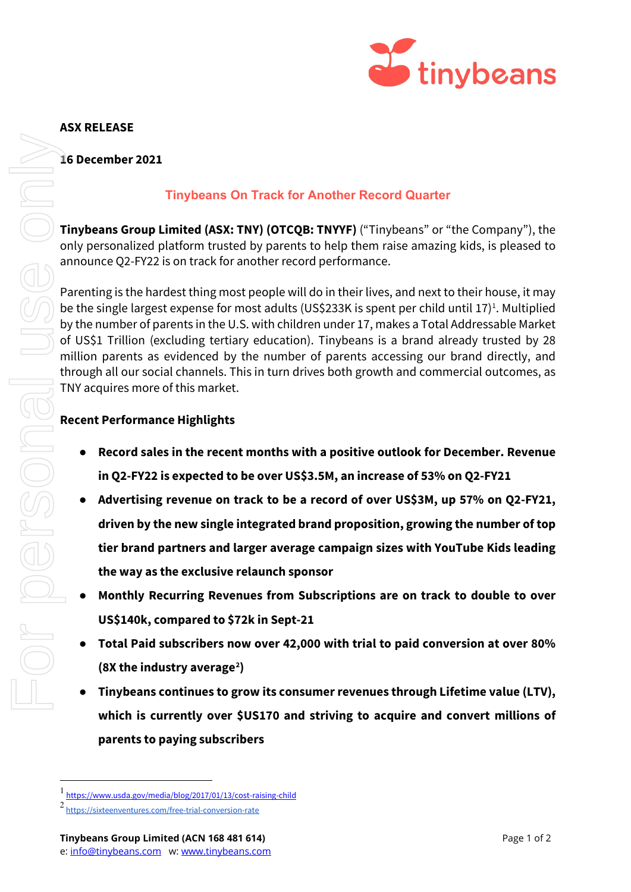

### **ASX RELEASE**

#### **16 December 2021**

# **Tinybeans On Track for Another Record Quarter**

**Tinybeans Group Limited (ASX: TNY) (OTCQB: TNYYF)** ("Tinybeans" or "the Company"), the only personalized platform trusted by parents to help them raise amazing kids, is pleased to announce Q2-FY22 is on track for another record performance.

Parenting is the hardest thing most people will do in their lives, and next to their house, it may be the single largest expense for most adults (US\$233K is spent per child until [1](#page-0-0)7)<sup>1</sup>. Multiplied by the number of parents in the U.S. with children under 17, makes a Total Addressable Market of US\$1 Trillion (excluding tertiary education). Tinybeans is a brand already trusted by 28 million parents as evidenced by the number of parents accessing our brand directly, and through all our social channels. This in turn drives both growth and commercial outcomes, as TNY acquires more of this market. **2 be the single largest expense for most**<br>by the number of parents in the U.S. wi<br>of US\$1 Trillion (excluding tertiary eq<br>million parents as evidenced by the<br>trough all our social channels. This in<br>TNY acquires more of th

# **Recent Performance Highlights**

- **Record sales in the recent months with a positive outlook for December. Revenue in Q2-FY22 is expected to be over US\$3.5M, an increase of 53% on Q2-FY21**
- **Advertising revenue on track to be a record of over US\$3M, up 57% on Q2-FY21, driven by the new single integrated brand proposition, growing the number of top tier brand partners and larger average campaign sizes with YouTube Kids leading the way as the exclusive relaunch sponsor**
- **Monthly Recurring Revenues from Subscriptions are on track to double to over US\$140k, compared to \$72k in Sept-21**
- **Total Paid subscribers now over 42,000 with trial to paid conversion at over 80% (8X the industry average[2](#page-0-1) )**
- **Tinybeans continues to grow its consumer revenues through Lifetime value (LTV), which is currently over \$US170 and striving to acquire and convert millions of parents to paying subscribers**

<span id="page-0-1"></span><span id="page-0-0"></span><sup>1</sup> <https://www.usda.gov/media/blog/2017/01/13/cost-raising-child>